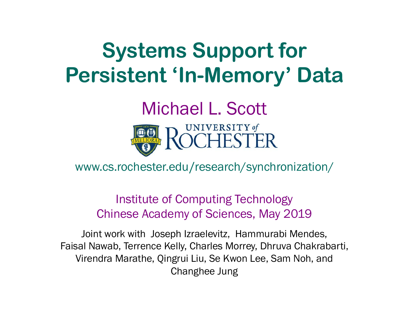### **Systems Support for Persistent 'In-Memory' Data**

#### Michael L. Scott UNIVERSITY of



www.cs.rochester.edu/research/synchronization/

Institute of Computing Technology Chinese Academy of Sciences, May 2019

Joint work with Joseph Izraelevitz, Hammurabi Mendes, Faisal Nawab, Terrence Kelly, Charles Morrey, Dhruva Chakrabarti, Virendra Marathe, Qingrui Liu, Se Kwon Lee, Sam Noh, and Changhee Jung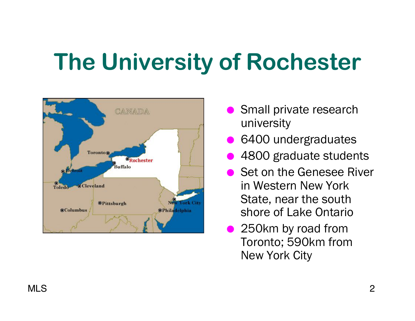## **The University of Rochester**



- Small private research university
- 6400 undergraduates
- 4800 graduate students
- **Set on the Genesee River** in Western New York State, near the south shore of Lake Ontario
- 250km by road from Toronto; 590km from New York City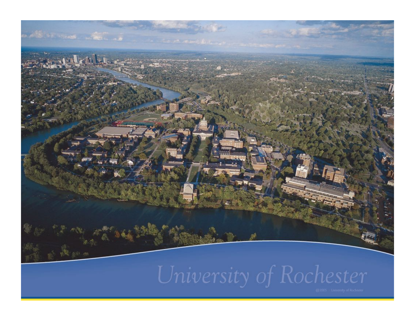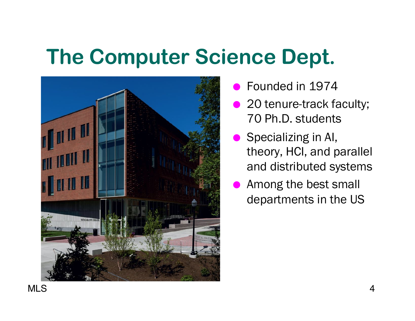### **The Computer Science Dept.**



- Founded in 1974
- 20 tenure-track faculty; 70 Ph.D. students
- Specializing in AI, theory, HCI, and parallel and distributed systems
- Among the best small departments in the US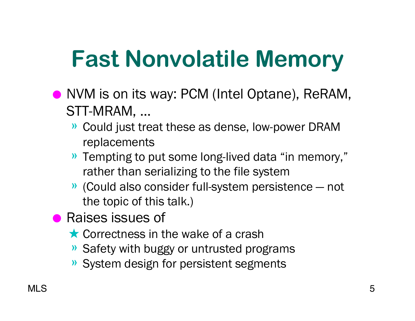# **Fast Nonvolatile Memory**

- NVM is on its way: PCM (Intel Optane), ReRAM, STT-MRAM, ...
	- » Could just treat these as dense, low-power DRAM replacements
	- » Tempting to put some long-lived data "in memory," rather than serializing to the file system
	- » (Could also consider full-system persistence not the topic of this talk.)
- Raises issues of
	- ★ Correctness in the wake of a crash
	- » Safety with buggy or untrusted programs
	- » System design for persistent segments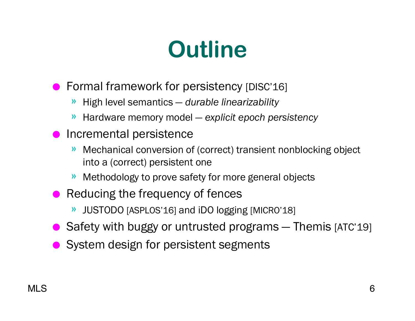## **Outline**

- Formal framework for persistency [DISC'16]
	- » High level semantics *durable linearizability*
	- » Hardware memory model *explicit epoch persistency*
- Incremental persistence
	- » Mechanical conversion of (correct) transient nonblocking object into a (correct) persistent one
	- » Methodology to prove safety for more general objects
- Reducing the frequency of fences
	- » JUSTODO [ASPLOS'16] and iDO logging [MICRO'18]
- Safety with buggy or untrusted programs Themis [ATC'19]
- System design for persistent segments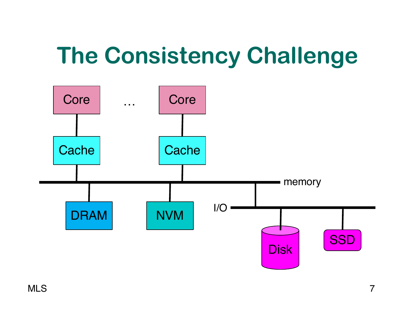## **The Consistency Challenge**

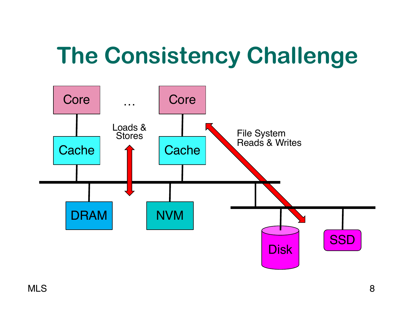## **The Consistency Challenge**

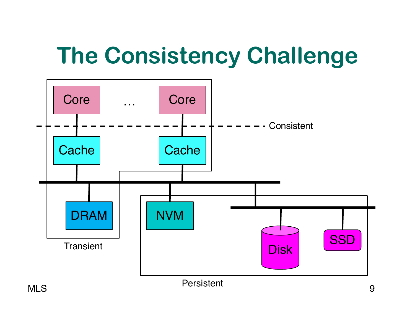## **The Consistency Challenge**

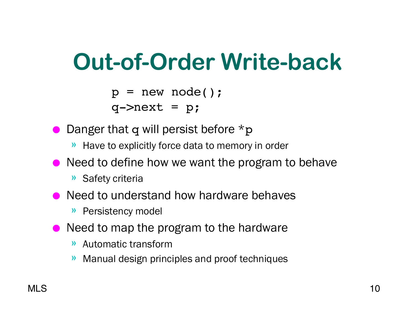## **Out-of-Order Write-back**

 $p = new node()$ ;

 $q$ ->next =  $p$ ;

- Danger that q will persist before  $*$ p
	- » Have to explicitly force data to memory in order
- Need to define how we want the program to behave
	- » Safety criteria
- Need to understand how hardware behaves
	- » Persistency model
- Need to map the program to the hardware
	- » Automatic transform
	- » Manual design principles and proof techniques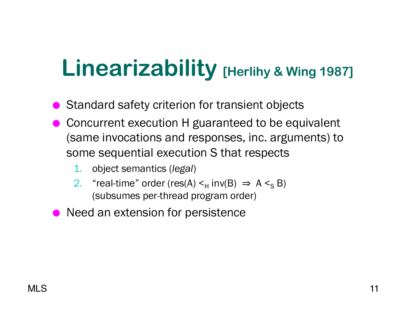## **Linearizability [Herlihy & Wing 1987]**

- Standard safety criterion for transient objects
- Concurrent execution H guaranteed to be equivalent (same invocations and responses, inc. arguments) to some sequential execution S that respects
	- 1. object semantics (*legal*)
	- 2. "real-time" order (res(A)  $\leq_H$  inv(B)  $\Rightarrow$  A  $\leq_S$  B) (subsumes per-thread program order)
- **Need an extension for persistence**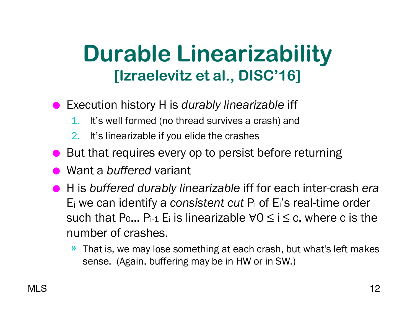### **Durable Linearizability [Izraelevitz et al., DISC'16]**

- Execution history H is *durably linearizable* iff
	- 1. It's well formed (no thread survives a crash) and
	- 2. It's linearizable if you elide the crashes
- But that requires every op to persist before returning
- Want a *buffered* variant
- H is *buffered durably linearizable* iff for each inter-crash *era* Ei we can identify a *consistent cut* Pi of Ei's real-time order such that P<sub>0</sub>... P<sub>i-1</sub> E<sub>i</sub> is linearizable  $\forall 0 \le i \le c$ , where c is the number of crashes.
	- » That is, we may lose something at each crash, but what's left makes sense. (Again, buffering may be in HW or in SW.)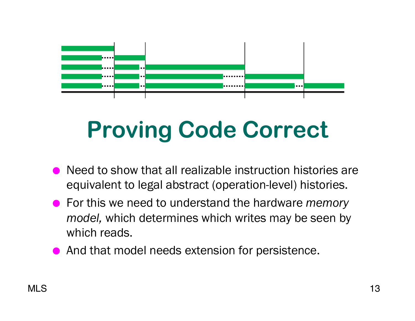

# **Proving Code Correct**

- Need to show that all realizable instruction histories are equivalent to legal abstract (operation-level) histories.
- For this we need to understand the hardware *memory model,* which determines which writes may be seen by which reads.
- And that model needs extension for persistence.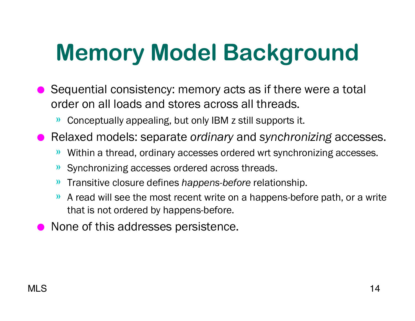# **Memory Model Background**

- Sequential consistency: memory acts as if there were a total order on all loads and stores across all threads.
	- » Conceptually appealing, but only IBM z still supports it.
- Relaxed models: separate *ordinary* and *synchronizing* accesses.
	- » Within a thread, ordinary accesses ordered wrt synchronizing accesses.
	- » Synchronizing accesses ordered across threads.
	- » Transitive closure defines *happens-before* relationship.
	- » A read will see the most recent write on a happens-before path, or a write that is not ordered by happens-before.
- None of this addresses persistence.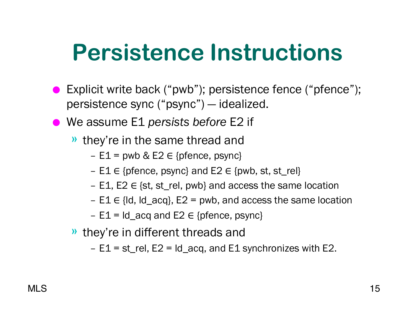### **Persistence Instructions**

- Explicit write back ("pwb"); persistence fence ("pfence"); persistence sync ("psync") — idealized.
- We assume E1 *persists before* E2 if
	- » they're in the same thread and
		- $E1$  = pwb & E2  $\in$  {pfence, psync}
		- E1 ∈ {pfence, psync} and E2 ∈ {pwb, st, st\_rel}
		- E1, E2  $\in$  {st, st\_rel, pwb} and access the same location
		- $-$  E1  $\in$  {ld, ld\_acq}, E2 = pwb, and access the same location
		- $E1 = Id_$  acq and  $E2 \in \{$ pfence, psync $\}$
	- » they're in different threads and
		- $-$  E1 = st\_rel, E2 = Id\_acq, and E1 synchronizes with E2.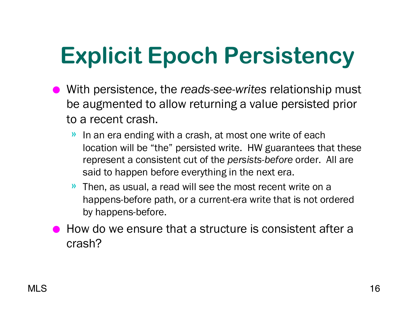# **Explicit Epoch Persistency**

- With persistence, the *reads-see-writes* relationship must be augmented to allow returning a value persisted prior to a recent crash.
	- » In an era ending with a crash, at most one write of each location will be "the" persisted write. HW guarantees that these represent a consistent cut of the *persists-before* order. All are said to happen before everything in the next era.
	- » Then, as usual, a read will see the most recent write on a happens-before path, or a current-era write that is not ordered by happens-before.
- How do we ensure that a structure is consistent after a crash?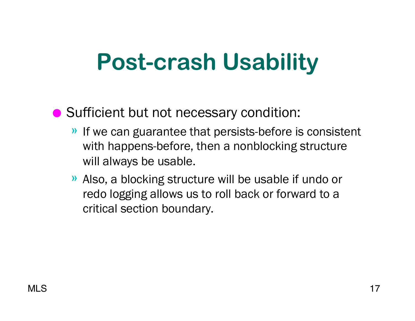## **Post-crash Usability**

#### ● Sufficient but not necessary condition:

- » If we can guarantee that persists-before is consistent with happens-before, then a nonblocking structure will always be usable.
- » Also, a blocking structure will be usable if undo or redo logging allows us to roll back or forward to a critical section boundary.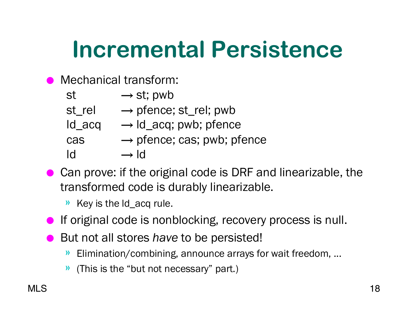## **Incremental Persistence**

- Mechanical transform:
	- st  $\rightarrow$  st; pwb
	- $st_{rel} \rightarrow$  pfence;  $st_{rel}$ ; pwb
	- $ld$ <sub>\_acq</sub>  $\rightarrow$   $ld$ <sub>\_acq</sub>; pwb; pfence
	- $\cos \rightarrow$  pfence; cas; pwb; pfence
	- $\mathsf{Id} \longrightarrow \mathsf{Id}$
- Can prove: if the original code is DRF and linearizable, the transformed code is durably linearizable.
	- » Key is the ld\_acq rule.
- If original code is nonblocking, recovery process is null.
- But not all stores *have* to be persisted!
	- » Elimination/combining, announce arrays for wait freedom, ...
	- » (This is the "but not necessary" part.)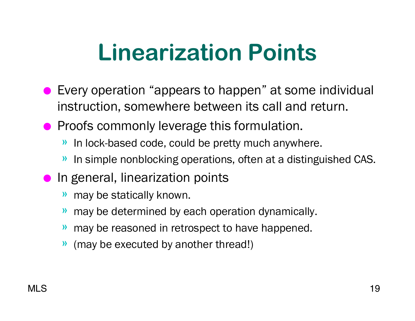## **Linearization Points**

- Every operation "appears to happen" at some individual instruction, somewhere between its call and return.
- Proofs commonly leverage this formulation.
	- » In lock-based code, could be pretty much anywhere.
	- » In simple nonblocking operations, often at a distinguished CAS.
- In general, linearization points
	- » may be statically known.
	- » may be determined by each operation dynamically.
	- » may be reasoned in retrospect to have happened.
	- » (may be executed by another thread!)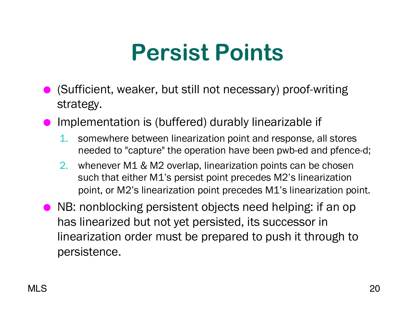## **Persist Points**

- (Sufficient, weaker, but still not necessary) proof-writing strategy.
- Implementation is (buffered) durably linearizable if
	- 1. somewhere between linearization point and response, all stores needed to "capture" the operation have been pwb-ed and pfence-d;
	- 2. whenever M1 & M2 overlap, linearization points can be chosen such that either M1's persist point precedes M2's linearization point, or M2's linearization point precedes M1's linearization point.
- NB: nonblocking persistent objects need helping: if an op has linearized but not yet persisted, its successor in linearization order must be prepared to push it through to persistence.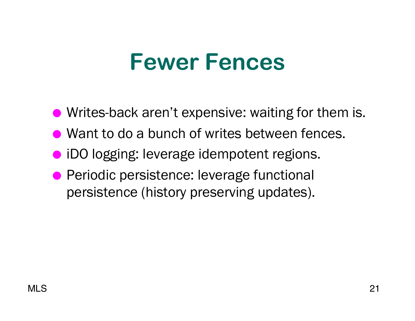### **Fewer Fences**

● Writes-back aren't expensive: waiting for them is.

- Want to do a bunch of writes between fences.
- iDO logging: leverage idempotent regions.
- Periodic persistence: leverage functional persistence (history preserving updates).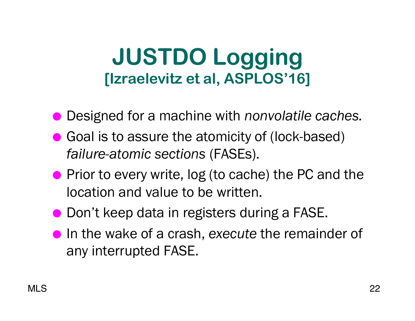### **JUSTDO Logging [Izraelevitz et al, ASPLOS'16]**

- Designed for a machine with *nonvolatile caches*.
- Goal is to assure the atomicity of (lock-based) *failure-atomic sections* (FASEs).
- Prior to every write, log (to cache) the PC and the location and value to be written.
- Don't keep data in registers during a FASE.
- In the wake of a crash, *execute* the remainder of any interrupted FASE.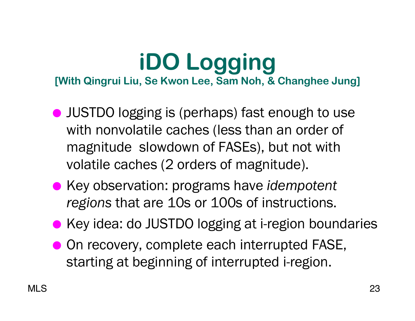#### **iDO Logging [With Qingrui Liu, Se Kwon Lee, Sam Noh, & Changhee Jung]**

- JUSTDO logging is (perhaps) fast enough to use with nonvolatile caches (less than an order of magnitude slowdown of FASEs), but not with volatile caches (2 orders of magnitude).
- Key observation: programs have *idempotent regions* that are 10s or 100s of instructions.
- Key idea: do JUSTDO logging at i-region boundaries
- On recovery, complete each interrupted FASE, starting at beginning of interrupted i-region.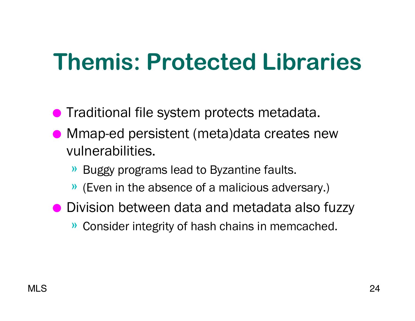## **Themis: Protected Libraries**

- **Traditional file system protects metadata.**
- Mmap-ed persistent (meta)data creates new vulnerabilities.
	- » Buggy programs lead to Byzantine faults.
	- » (Even in the absence of a malicious adversary.)
- Division between data and metadata also fuzzy
	- » Consider integrity of hash chains in memcached.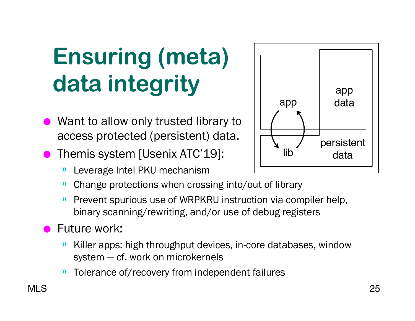# **Ensuring (meta) data integrity**

- Want to allow only trusted library to access protected (persistent) data.
- Themis system [Usenix ATC'19]:
	- » Leverage Intel PKU mechanism
	- » Change protections when crossing into/out of library
	- » Prevent spurious use of WRPKRU instruction via compiler help, binary scanning/rewriting, and/or use of debug registers

#### **Future work:**

- » Killer apps: high throughput devices, in-core databases, window system — cf. work on microkernels
- » Tolerance of/recovery from independent failures

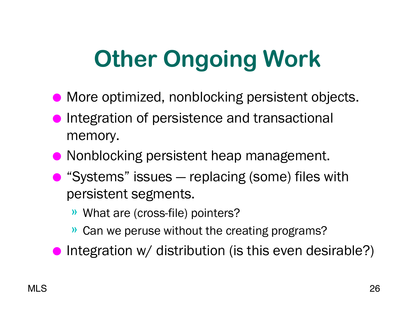# **Other Ongoing Work**

- More optimized, nonblocking persistent objects.
- Integration of persistence and transactional memory.
- Nonblocking persistent heap management.
- "Systems" issues replacing (some) files with persistent segments.
	- » What are (cross-file) pointers?
	- » Can we peruse without the creating programs?
- Integration  $w/$  distribution (is this even desirable?)